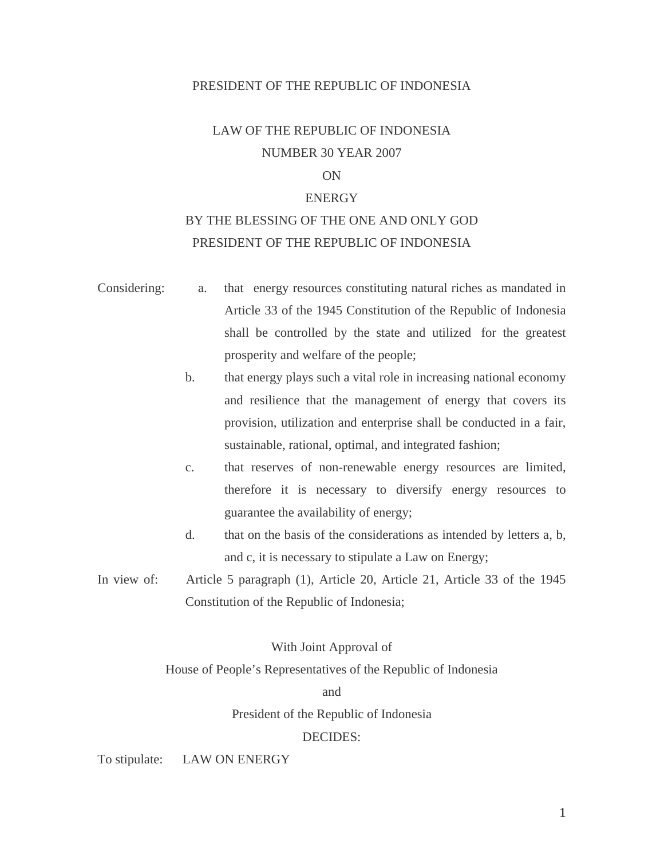#### PRESIDENT OF THE REPUBLIC OF INDONESIA

# LAW OF THE REPUBLIC OF INDONESIA NUMBER 30 YEAR 2007

### ON

#### **ENERGY**

# BY THE BLESSING OF THE ONE AND ONLY GOD PRESIDENT OF THE REPUBLIC OF INDONESIA

- Considering: a. that energy resources constituting natural riches as mandated in Article 33 of the 1945 Constitution of the Republic of Indonesia shall be controlled by the state and utilized for the greatest prosperity and welfare of the people;
	- b. that energy plays such a vital role in increasing national economy and resilience that the management of energy that covers its provision, utilization and enterprise shall be conducted in a fair, sustainable, rational, optimal, and integrated fashion;
	- c. that reserves of non-renewable energy resources are limited, therefore it is necessary to diversify energy resources to guarantee the availability of energy;
	- d. that on the basis of the considerations as intended by letters a, b, and c, it is necessary to stipulate a Law on Energy;
- In view of: Article 5 paragraph (1), Article 20, Article 21, Article 33 of the 1945 Constitution of the Republic of Indonesia;

### With Joint Approval of

House of People's Representatives of the Republic of Indonesia

and

President of the Republic of Indonesia

#### DECIDES:

To stipulate: LAW ON ENERGY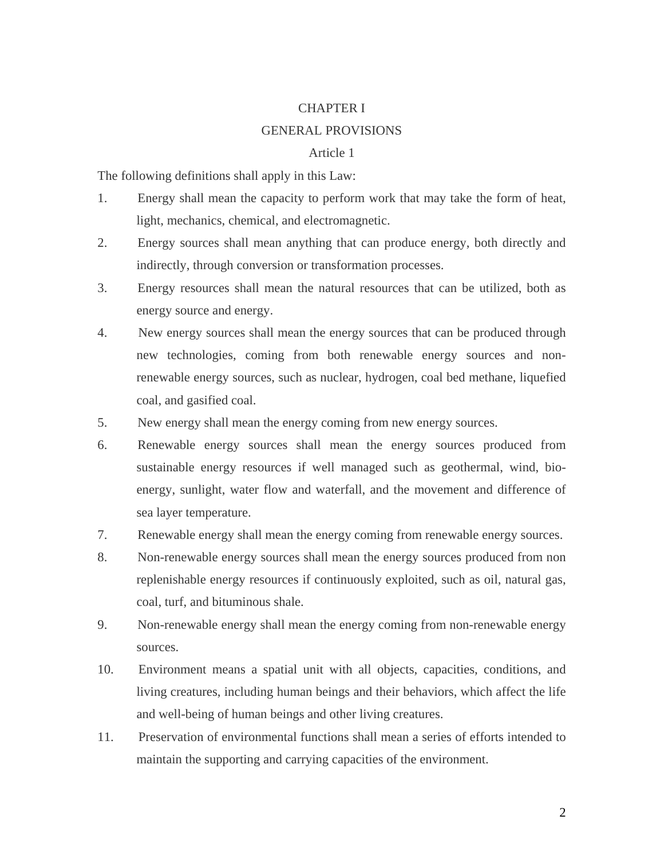#### CHAPTER I

#### GENERAL PROVISIONS

#### Article 1

The following definitions shall apply in this Law:

- 1. Energy shall mean the capacity to perform work that may take the form of heat, light, mechanics, chemical, and electromagnetic.
- 2. Energy sources shall mean anything that can produce energy, both directly and indirectly, through conversion or transformation processes.
- 3. Energy resources shall mean the natural resources that can be utilized, both as energy source and energy.
- 4. New energy sources shall mean the energy sources that can be produced through new technologies, coming from both renewable energy sources and nonrenewable energy sources, such as nuclear, hydrogen, coal bed methane, liquefied coal, and gasified coal.
- 5. New energy shall mean the energy coming from new energy sources.
- 6. Renewable energy sources shall mean the energy sources produced from sustainable energy resources if well managed such as geothermal, wind, bioenergy, sunlight, water flow and waterfall, and the movement and difference of sea layer temperature.
- 7. Renewable energy shall mean the energy coming from renewable energy sources.
- 8. Non-renewable energy sources shall mean the energy sources produced from non replenishable energy resources if continuously exploited, such as oil, natural gas, coal, turf, and bituminous shale.
- 9. Non-renewable energy shall mean the energy coming from non-renewable energy sources.
- 10. Environment means a spatial unit with all objects, capacities, conditions, and living creatures, including human beings and their behaviors, which affect the life and well-being of human beings and other living creatures.
- 11. Preservation of environmental functions shall mean a series of efforts intended to maintain the supporting and carrying capacities of the environment.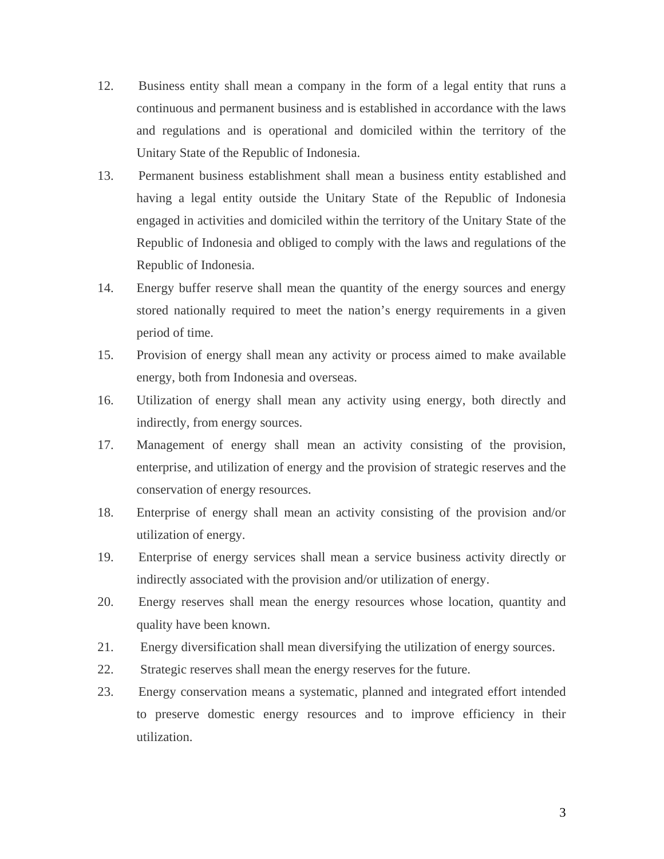- 12. Business entity shall mean a company in the form of a legal entity that runs a continuous and permanent business and is established in accordance with the laws and regulations and is operational and domiciled within the territory of the Unitary State of the Republic of Indonesia.
- 13. Permanent business establishment shall mean a business entity established and having a legal entity outside the Unitary State of the Republic of Indonesia engaged in activities and domiciled within the territory of the Unitary State of the Republic of Indonesia and obliged to comply with the laws and regulations of the Republic of Indonesia.
- 14. Energy buffer reserve shall mean the quantity of the energy sources and energy stored nationally required to meet the nation's energy requirements in a given period of time.
- 15. Provision of energy shall mean any activity or process aimed to make available energy, both from Indonesia and overseas.
- 16. Utilization of energy shall mean any activity using energy, both directly and indirectly, from energy sources.
- 17. Management of energy shall mean an activity consisting of the provision, enterprise, and utilization of energy and the provision of strategic reserves and the conservation of energy resources.
- 18. Enterprise of energy shall mean an activity consisting of the provision and/or utilization of energy.
- 19. Enterprise of energy services shall mean a service business activity directly or indirectly associated with the provision and/or utilization of energy.
- 20. Energy reserves shall mean the energy resources whose location, quantity and quality have been known.
- 21. Energy diversification shall mean diversifying the utilization of energy sources.
- 22. Strategic reserves shall mean the energy reserves for the future.
- 23. Energy conservation means a systematic, planned and integrated effort intended to preserve domestic energy resources and to improve efficiency in their utilization.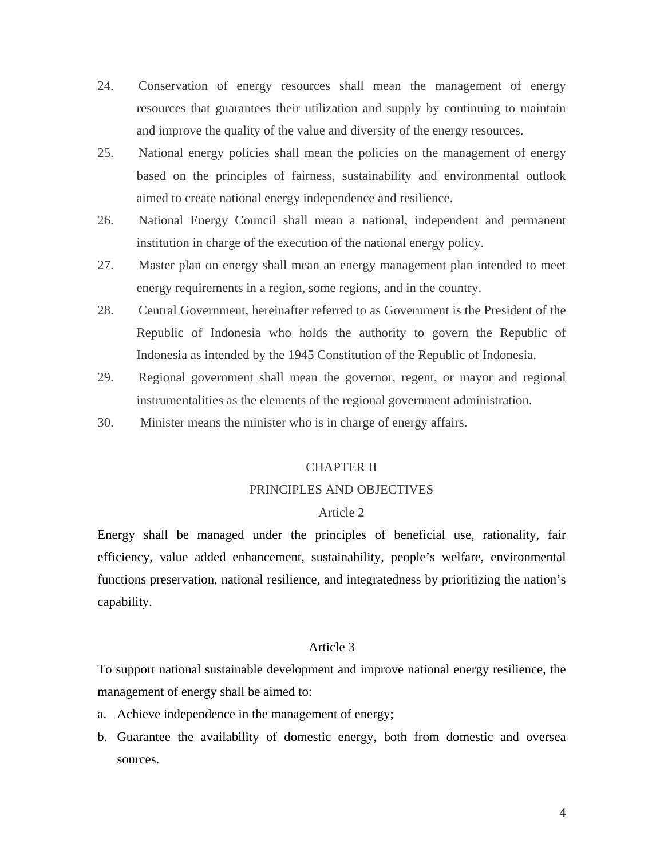- 24. Conservation of energy resources shall mean the management of energy resources that guarantees their utilization and supply by continuing to maintain and improve the quality of the value and diversity of the energy resources.
- 25. National energy policies shall mean the policies on the management of energy based on the principles of fairness, sustainability and environmental outlook aimed to create national energy independence and resilience.
- 26. National Energy Council shall mean a national, independent and permanent institution in charge of the execution of the national energy policy.
- 27. Master plan on energy shall mean an energy management plan intended to meet energy requirements in a region, some regions, and in the country.
- 28. Central Government, hereinafter referred to as Government is the President of the Republic of Indonesia who holds the authority to govern the Republic of Indonesia as intended by the 1945 Constitution of the Republic of Indonesia.
- 29. Regional government shall mean the governor, regent, or mayor and regional instrumentalities as the elements of the regional government administration.
- 30. Minister means the minister who is in charge of energy affairs.

#### CHAPTER II

### PRINCIPLES AND OBJECTIVES

#### Article 2

Energy shall be managed under the principles of beneficial use, rationality, fair efficiency, value added enhancement, sustainability, people's welfare, environmental functions preservation, national resilience, and integratedness by prioritizing the nation's capability.

#### Article 3

To support national sustainable development and improve national energy resilience, the management of energy shall be aimed to:

- a. Achieve independence in the management of energy;
- b. Guarantee the availability of domestic energy, both from domestic and oversea sources.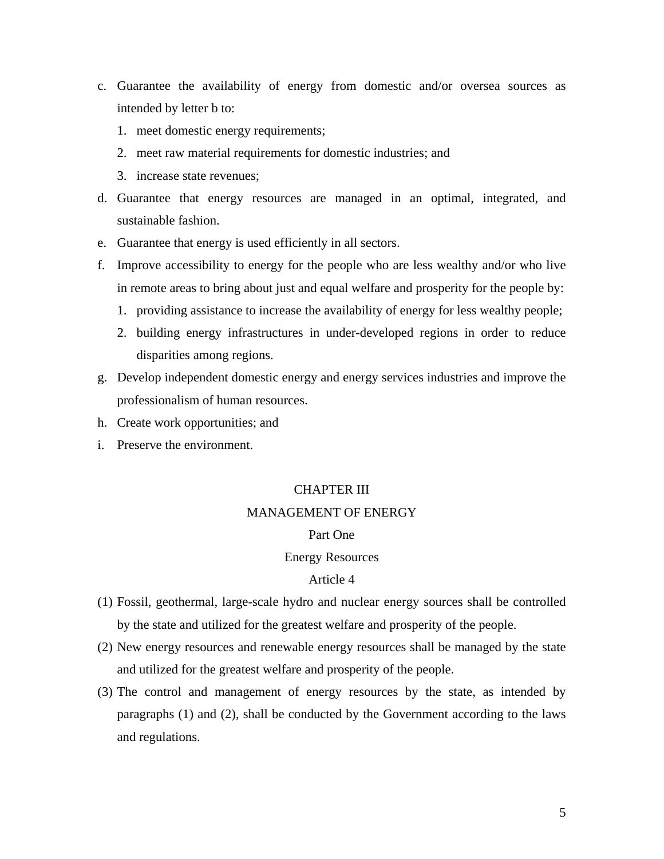- c. Guarantee the availability of energy from domestic and/or oversea sources as intended by letter b to:
	- 1. meet domestic energy requirements;
	- 2. meet raw material requirements for domestic industries; and
	- 3. increase state revenues;
- d. Guarantee that energy resources are managed in an optimal, integrated, and sustainable fashion.
- e. Guarantee that energy is used efficiently in all sectors.
- f. Improve accessibility to energy for the people who are less wealthy and/or who live in remote areas to bring about just and equal welfare and prosperity for the people by:
	- 1. providing assistance to increase the availability of energy for less wealthy people;
	- 2. building energy infrastructures in under-developed regions in order to reduce disparities among regions.
- g. Develop independent domestic energy and energy services industries and improve the professionalism of human resources.
- h. Create work opportunities; and
- i. Preserve the environment.

### CHAPTER III

#### MANAGEMENT OF ENERGY

#### Part One

#### Energy Resources

- (1) Fossil, geothermal, large-scale hydro and nuclear energy sources shall be controlled by the state and utilized for the greatest welfare and prosperity of the people.
- (2) New energy resources and renewable energy resources shall be managed by the state and utilized for the greatest welfare and prosperity of the people.
- (3) The control and management of energy resources by the state, as intended by paragraphs (1) and (2), shall be conducted by the Government according to the laws and regulations.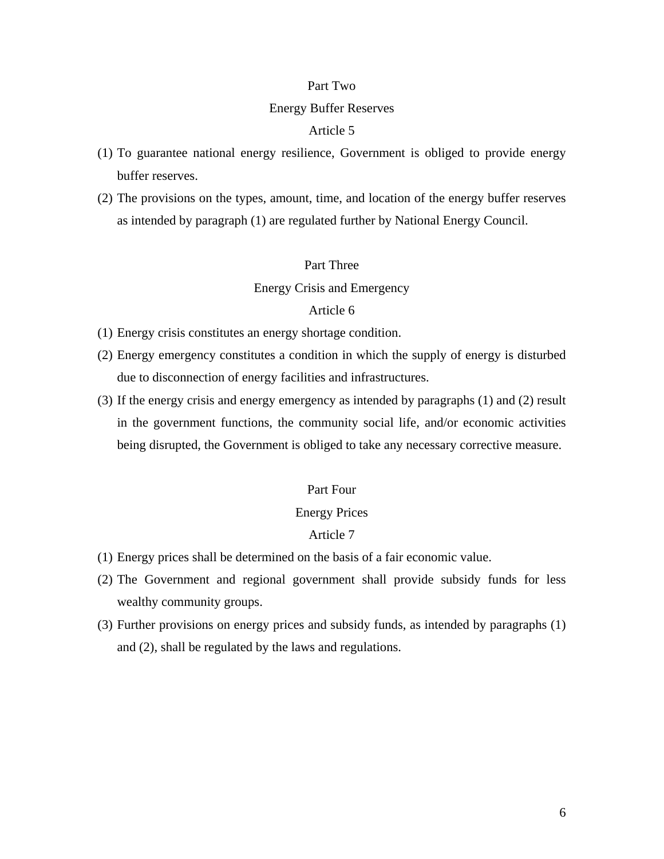#### Part Two

#### Energy Buffer Reserves

#### Article 5

- (1) To guarantee national energy resilience, Government is obliged to provide energy buffer reserves.
- (2) The provisions on the types, amount, time, and location of the energy buffer reserves as intended by paragraph (1) are regulated further by National Energy Council.

### Part Three

Energy Crisis and Emergency

### Article 6

- (1) Energy crisis constitutes an energy shortage condition.
- (2) Energy emergency constitutes a condition in which the supply of energy is disturbed due to disconnection of energy facilities and infrastructures.
- (3) If the energy crisis and energy emergency as intended by paragraphs (1) and (2) result in the government functions, the community social life, and/or economic activities being disrupted, the Government is obliged to take any necessary corrective measure.

### Part Four

#### Energy Prices

- (1) Energy prices shall be determined on the basis of a fair economic value.
- (2) The Government and regional government shall provide subsidy funds for less wealthy community groups.
- (3) Further provisions on energy prices and subsidy funds, as intended by paragraphs (1) and (2), shall be regulated by the laws and regulations.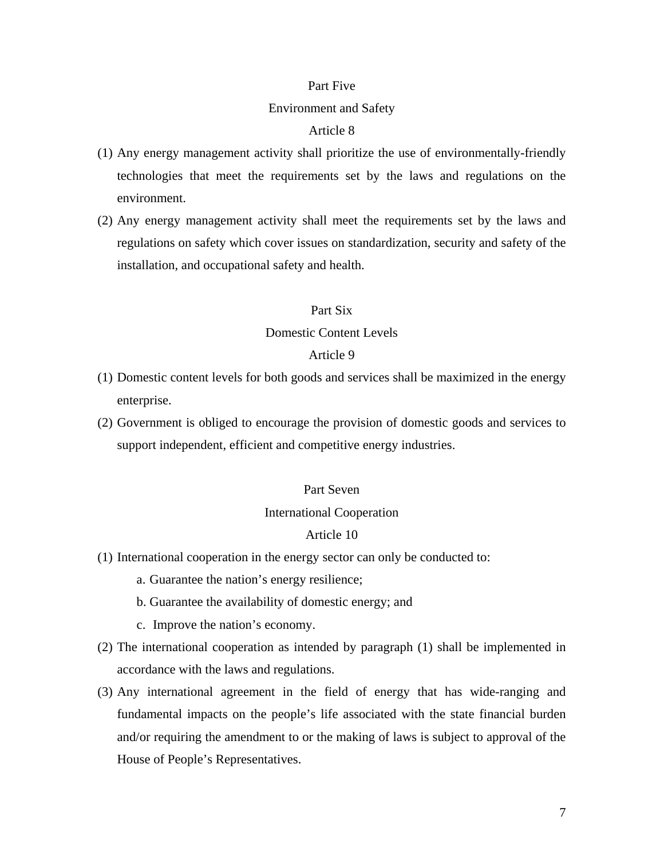#### Part Five

#### Environment and Safety

### Article 8

- (1) Any energy management activity shall prioritize the use of environmentally-friendly technologies that meet the requirements set by the laws and regulations on the environment.
- (2) Any energy management activity shall meet the requirements set by the laws and regulations on safety which cover issues on standardization, security and safety of the installation, and occupational safety and health.

### Part Six

#### Domestic Content Levels

#### Article 9

- (1) Domestic content levels for both goods and services shall be maximized in the energy enterprise.
- (2) Government is obliged to encourage the provision of domestic goods and services to support independent, efficient and competitive energy industries.

### Part Seven

#### International Cooperation

- (1) International cooperation in the energy sector can only be conducted to:
	- a. Guarantee the nation's energy resilience;
	- b. Guarantee the availability of domestic energy; and
	- c. Improve the nation's economy.
- (2) The international cooperation as intended by paragraph (1) shall be implemented in accordance with the laws and regulations.
- (3) Any international agreement in the field of energy that has wide-ranging and fundamental impacts on the people's life associated with the state financial burden and/or requiring the amendment to or the making of laws is subject to approval of the House of People's Representatives.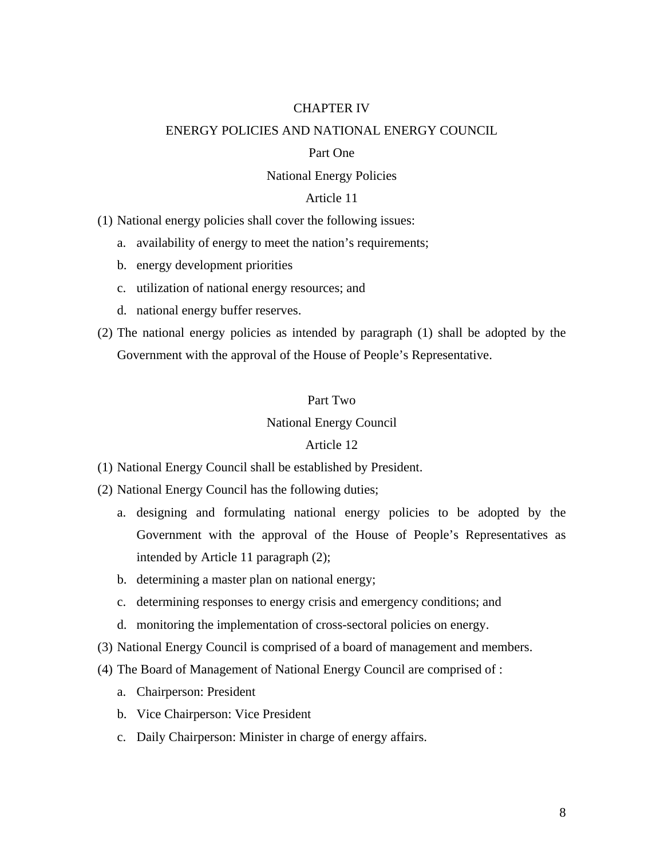#### CHAPTER IV

#### ENERGY POLICIES AND NATIONAL ENERGY COUNCIL

#### Part One

#### National Energy Policies

### Article 11

(1) National energy policies shall cover the following issues:

- a. availability of energy to meet the nation's requirements;
- b. energy development priorities
- c. utilization of national energy resources; and
- d. national energy buffer reserves.
- (2) The national energy policies as intended by paragraph (1) shall be adopted by the Government with the approval of the House of People's Representative.

### Part Two

### National Energy Council

- (1) National Energy Council shall be established by President.
- (2) National Energy Council has the following duties;
	- a. designing and formulating national energy policies to be adopted by the Government with the approval of the House of People's Representatives as intended by Article 11 paragraph (2);
	- b. determining a master plan on national energy;
	- c. determining responses to energy crisis and emergency conditions; and
	- d. monitoring the implementation of cross-sectoral policies on energy.
- (3) National Energy Council is comprised of a board of management and members.
- (4) The Board of Management of National Energy Council are comprised of :
	- a. Chairperson: President
	- b. Vice Chairperson: Vice President
	- c. Daily Chairperson: Minister in charge of energy affairs.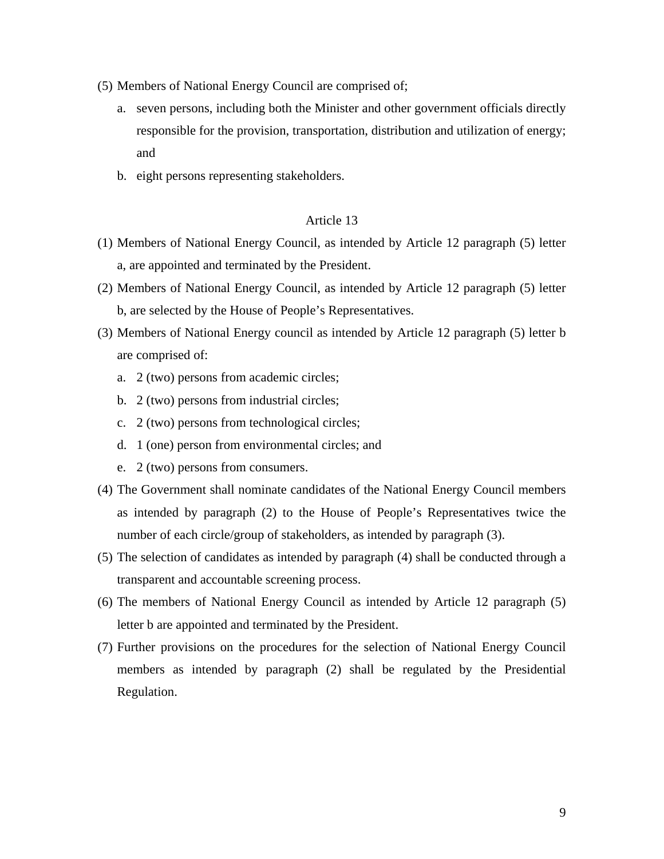- (5) Members of National Energy Council are comprised of;
	- a. seven persons, including both the Minister and other government officials directly responsible for the provision, transportation, distribution and utilization of energy; and
	- b. eight persons representing stakeholders.

- (1) Members of National Energy Council, as intended by Article 12 paragraph (5) letter a, are appointed and terminated by the President.
- (2) Members of National Energy Council, as intended by Article 12 paragraph (5) letter b, are selected by the House of People's Representatives.
- (3) Members of National Energy council as intended by Article 12 paragraph (5) letter b are comprised of:
	- a. 2 (two) persons from academic circles;
	- b. 2 (two) persons from industrial circles;
	- c. 2 (two) persons from technological circles;
	- d. 1 (one) person from environmental circles; and
	- e. 2 (two) persons from consumers.
- (4) The Government shall nominate candidates of the National Energy Council members as intended by paragraph (2) to the House of People's Representatives twice the number of each circle/group of stakeholders, as intended by paragraph (3).
- (5) The selection of candidates as intended by paragraph (4) shall be conducted through a transparent and accountable screening process.
- (6) The members of National Energy Council as intended by Article 12 paragraph (5) letter b are appointed and terminated by the President.
- (7) Further provisions on the procedures for the selection of National Energy Council members as intended by paragraph (2) shall be regulated by the Presidential Regulation.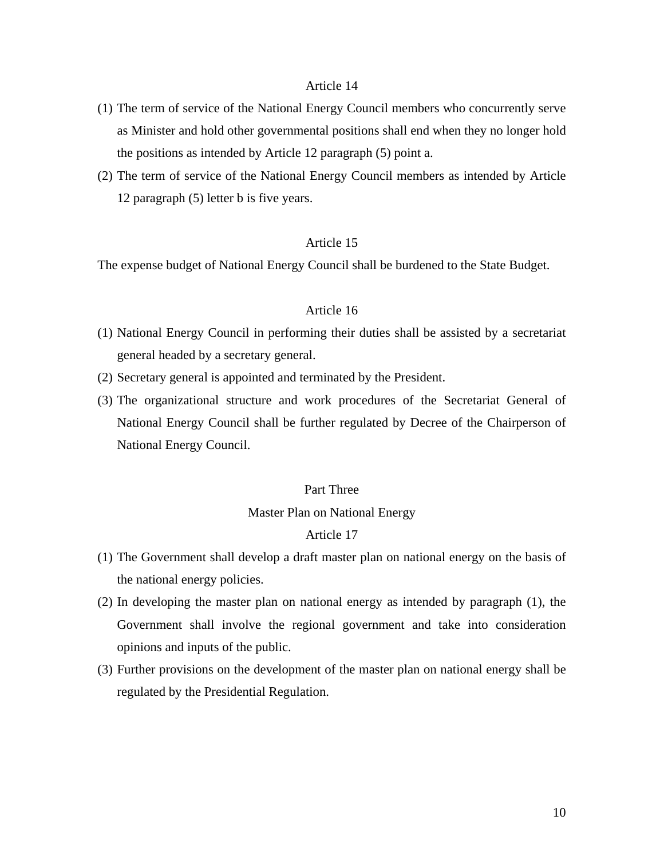### Article 14

- (1) The term of service of the National Energy Council members who concurrently serve as Minister and hold other governmental positions shall end when they no longer hold the positions as intended by Article 12 paragraph (5) point a.
- (2) The term of service of the National Energy Council members as intended by Article 12 paragraph (5) letter b is five years.

### Article 15

The expense budget of National Energy Council shall be burdened to the State Budget.

### Article 16

- (1) National Energy Council in performing their duties shall be assisted by a secretariat general headed by a secretary general.
- (2) Secretary general is appointed and terminated by the President.
- (3) The organizational structure and work procedures of the Secretariat General of National Energy Council shall be further regulated by Decree of the Chairperson of National Energy Council.

### Part Three

### Master Plan on National Energy

- (1) The Government shall develop a draft master plan on national energy on the basis of the national energy policies.
- (2) In developing the master plan on national energy as intended by paragraph (1), the Government shall involve the regional government and take into consideration opinions and inputs of the public.
- (3) Further provisions on the development of the master plan on national energy shall be regulated by the Presidential Regulation.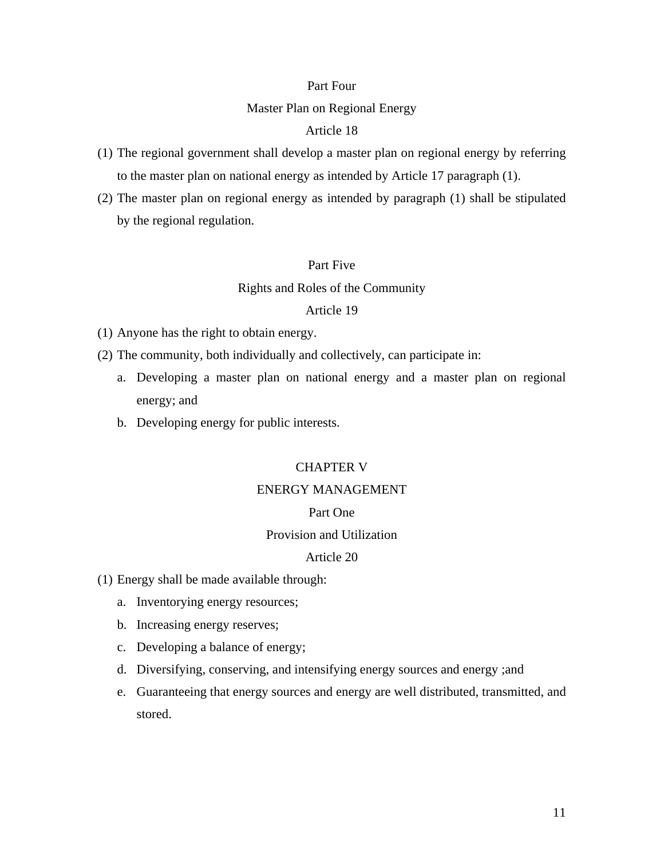#### Part Four

### Master Plan on Regional Energy

### Article 18

- (1) The regional government shall develop a master plan on regional energy by referring to the master plan on national energy as intended by Article 17 paragraph (1).
- (2) The master plan on regional energy as intended by paragraph (1) shall be stipulated by the regional regulation.

### Part Five

### Rights and Roles of the Community

#### Article 19

(1) Anyone has the right to obtain energy.

- (2) The community, both individually and collectively, can participate in:
	- a. Developing a master plan on national energy and a master plan on regional energy; and
	- b. Developing energy for public interests.

#### CHAPTER V

## ENERGY MANAGEMENT

#### Part One

#### Provision and Utilization

- (1) Energy shall be made available through:
	- a. Inventorying energy resources;
	- b. Increasing energy reserves;
	- c. Developing a balance of energy;
	- d. Diversifying, conserving, and intensifying energy sources and energy ;and
	- e. Guaranteeing that energy sources and energy are well distributed, transmitted, and stored.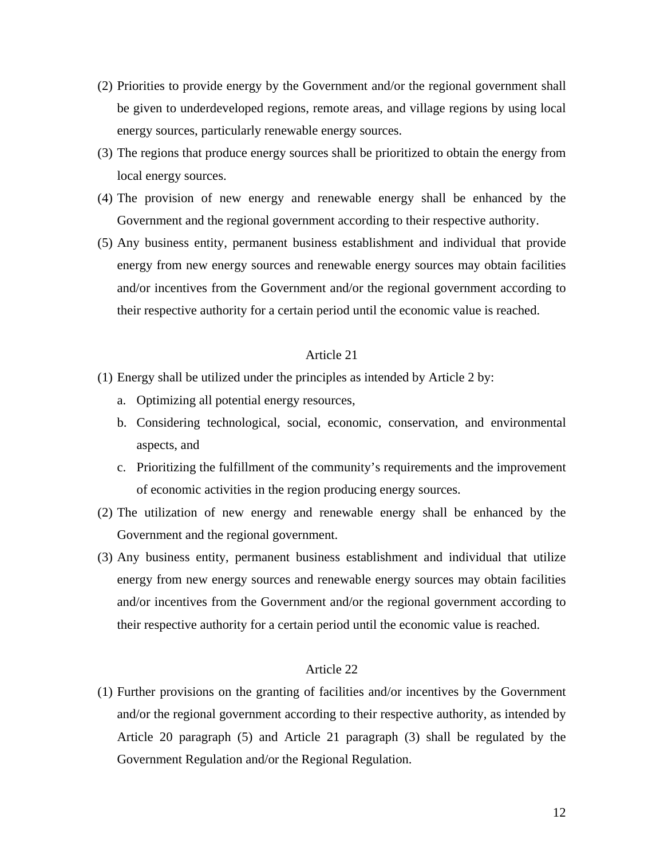- (2) Priorities to provide energy by the Government and/or the regional government shall be given to underdeveloped regions, remote areas, and village regions by using local energy sources, particularly renewable energy sources.
- (3) The regions that produce energy sources shall be prioritized to obtain the energy from local energy sources.
- (4) The provision of new energy and renewable energy shall be enhanced by the Government and the regional government according to their respective authority.
- (5) Any business entity, permanent business establishment and individual that provide energy from new energy sources and renewable energy sources may obtain facilities and/or incentives from the Government and/or the regional government according to their respective authority for a certain period until the economic value is reached.

#### Article 21

- (1) Energy shall be utilized under the principles as intended by Article 2 by:
	- a. Optimizing all potential energy resources,
	- b. Considering technological, social, economic, conservation, and environmental aspects, and
	- c. Prioritizing the fulfillment of the community's requirements and the improvement of economic activities in the region producing energy sources.
- (2) The utilization of new energy and renewable energy shall be enhanced by the Government and the regional government.
- (3) Any business entity, permanent business establishment and individual that utilize energy from new energy sources and renewable energy sources may obtain facilities and/or incentives from the Government and/or the regional government according to their respective authority for a certain period until the economic value is reached.

### Article 22

(1) Further provisions on the granting of facilities and/or incentives by the Government and/or the regional government according to their respective authority, as intended by Article 20 paragraph (5) and Article 21 paragraph (3) shall be regulated by the Government Regulation and/or the Regional Regulation.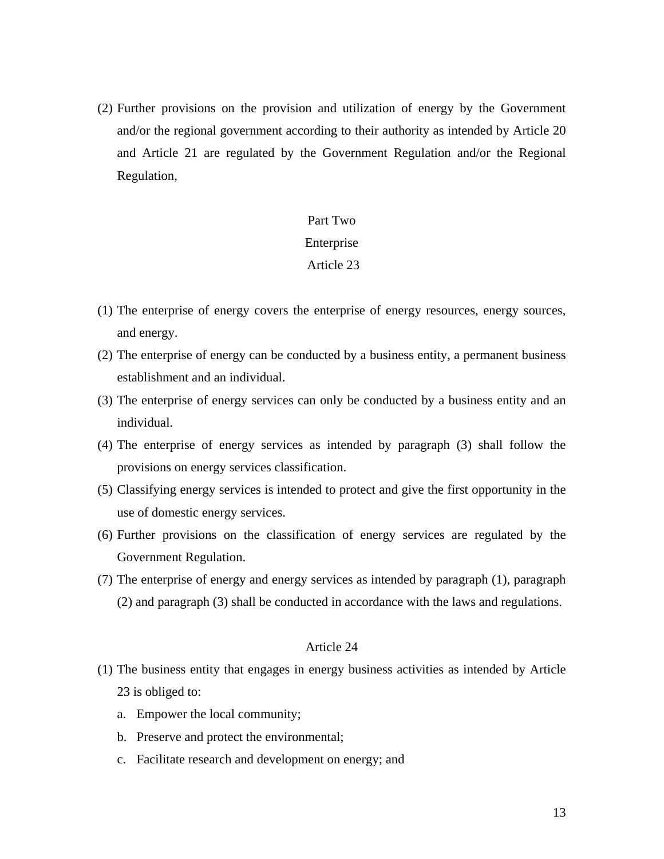(2) Further provisions on the provision and utilization of energy by the Government and/or the regional government according to their authority as intended by Article 20 and Article 21 are regulated by the Government Regulation and/or the Regional Regulation,

### Part Two

#### Enterprise

### Article 23

- (1) The enterprise of energy covers the enterprise of energy resources, energy sources, and energy.
- (2) The enterprise of energy can be conducted by a business entity, a permanent business establishment and an individual.
- (3) The enterprise of energy services can only be conducted by a business entity and an individual.
- (4) The enterprise of energy services as intended by paragraph (3) shall follow the provisions on energy services classification.
- (5) Classifying energy services is intended to protect and give the first opportunity in the use of domestic energy services.
- (6) Further provisions on the classification of energy services are regulated by the Government Regulation.
- (7) The enterprise of energy and energy services as intended by paragraph (1), paragraph (2) and paragraph (3) shall be conducted in accordance with the laws and regulations.

- (1) The business entity that engages in energy business activities as intended by Article 23 is obliged to:
	- a. Empower the local community;
	- b. Preserve and protect the environmental;
	- c. Facilitate research and development on energy; and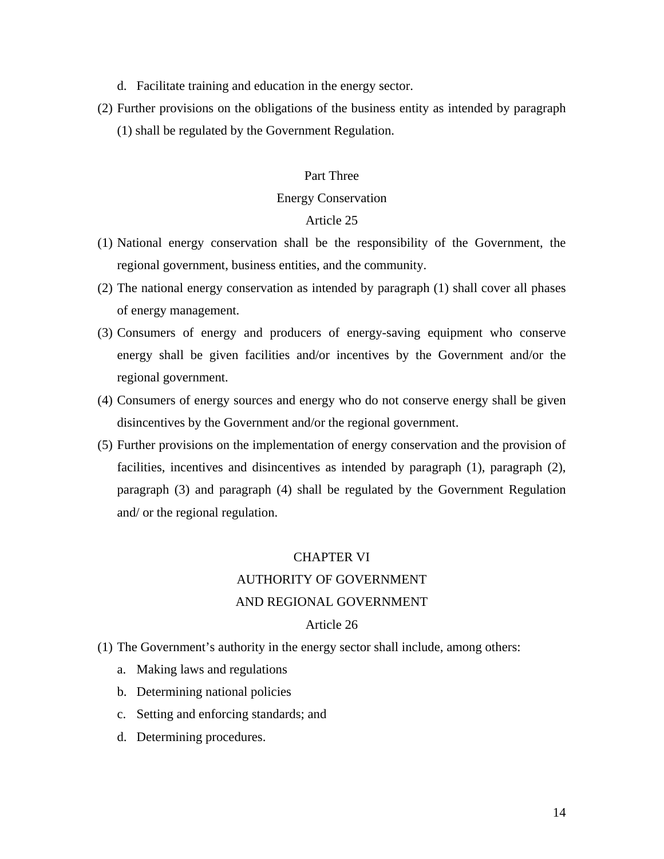- d. Facilitate training and education in the energy sector.
- (2) Further provisions on the obligations of the business entity as intended by paragraph (1) shall be regulated by the Government Regulation.

#### Part Three

#### Energy Conservation

### Article 25

- (1) National energy conservation shall be the responsibility of the Government, the regional government, business entities, and the community.
- (2) The national energy conservation as intended by paragraph (1) shall cover all phases of energy management.
- (3) Consumers of energy and producers of energy-saving equipment who conserve energy shall be given facilities and/or incentives by the Government and/or the regional government.
- (4) Consumers of energy sources and energy who do not conserve energy shall be given disincentives by the Government and/or the regional government.
- (5) Further provisions on the implementation of energy conservation and the provision of facilities, incentives and disincentives as intended by paragraph (1), paragraph (2), paragraph (3) and paragraph (4) shall be regulated by the Government Regulation and/ or the regional regulation.

### CHAPTER VI

# AUTHORITY OF GOVERNMENT

#### AND REGIONAL GOVERNMENT

- (1) The Government's authority in the energy sector shall include, among others:
	- a. Making laws and regulations
	- b. Determining national policies
	- c. Setting and enforcing standards; and
	- d. Determining procedures.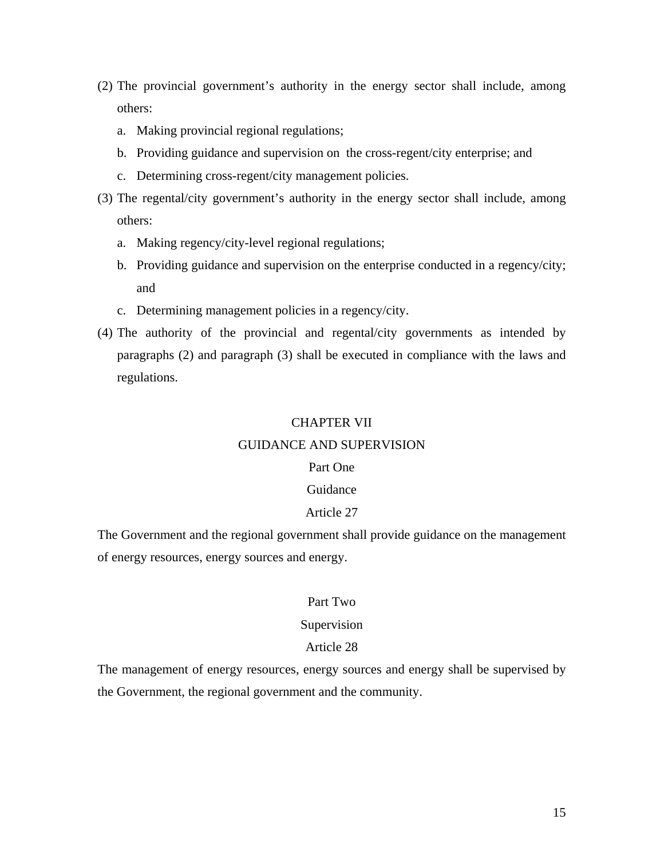- (2) The provincial government's authority in the energy sector shall include, among others:
	- a. Making provincial regional regulations;
	- b. Providing guidance and supervision on the cross-regent/city enterprise; and
	- c. Determining cross-regent/city management policies.
- (3) The regental/city government's authority in the energy sector shall include, among others:
	- a. Making regency/city-level regional regulations;
	- b. Providing guidance and supervision on the enterprise conducted in a regency/city; and
	- c. Determining management policies in a regency/city.
- (4) The authority of the provincial and regental/city governments as intended by paragraphs (2) and paragraph (3) shall be executed in compliance with the laws and regulations.

#### CHAPTER VII

#### GUIDANCE AND SUPERVISION

#### Part One

# Guidance

#### Article 27

The Government and the regional government shall provide guidance on the management of energy resources, energy sources and energy.

#### Part Two

#### Supervision

### Article 28

The management of energy resources, energy sources and energy shall be supervised by the Government, the regional government and the community.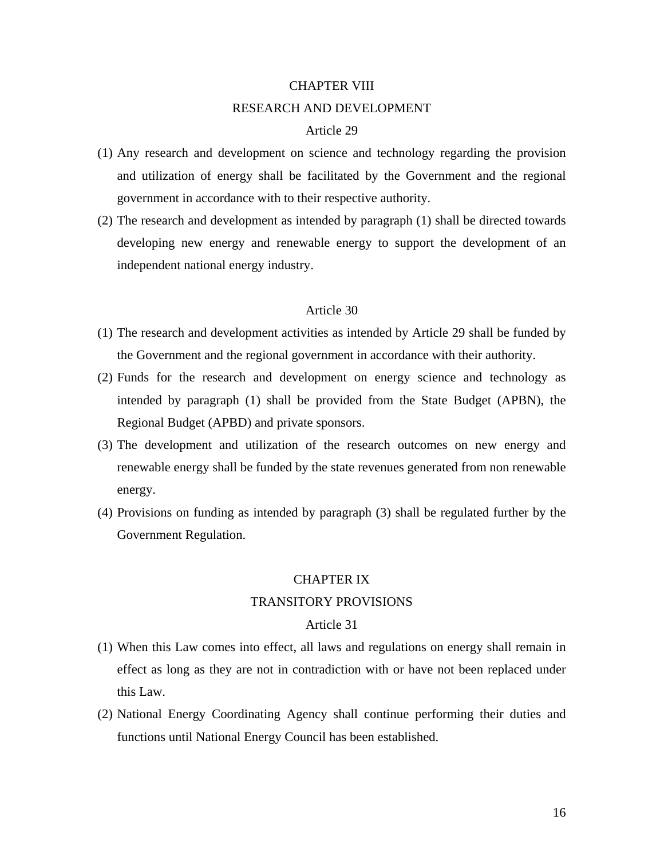# CHAPTER VIII RESEARCH AND DEVELOPMENT

### Article 29

- (1) Any research and development on science and technology regarding the provision and utilization of energy shall be facilitated by the Government and the regional government in accordance with to their respective authority.
- (2) The research and development as intended by paragraph (1) shall be directed towards developing new energy and renewable energy to support the development of an independent national energy industry.

### Article 30

- (1) The research and development activities as intended by Article 29 shall be funded by the Government and the regional government in accordance with their authority.
- (2) Funds for the research and development on energy science and technology as intended by paragraph (1) shall be provided from the State Budget (APBN), the Regional Budget (APBD) and private sponsors.
- (3) The development and utilization of the research outcomes on new energy and renewable energy shall be funded by the state revenues generated from non renewable energy.
- (4) Provisions on funding as intended by paragraph (3) shall be regulated further by the Government Regulation.

#### CHAPTER IX

#### TRANSITORY PROVISIONS

- (1) When this Law comes into effect, all laws and regulations on energy shall remain in effect as long as they are not in contradiction with or have not been replaced under this Law.
- (2) National Energy Coordinating Agency shall continue performing their duties and functions until National Energy Council has been established.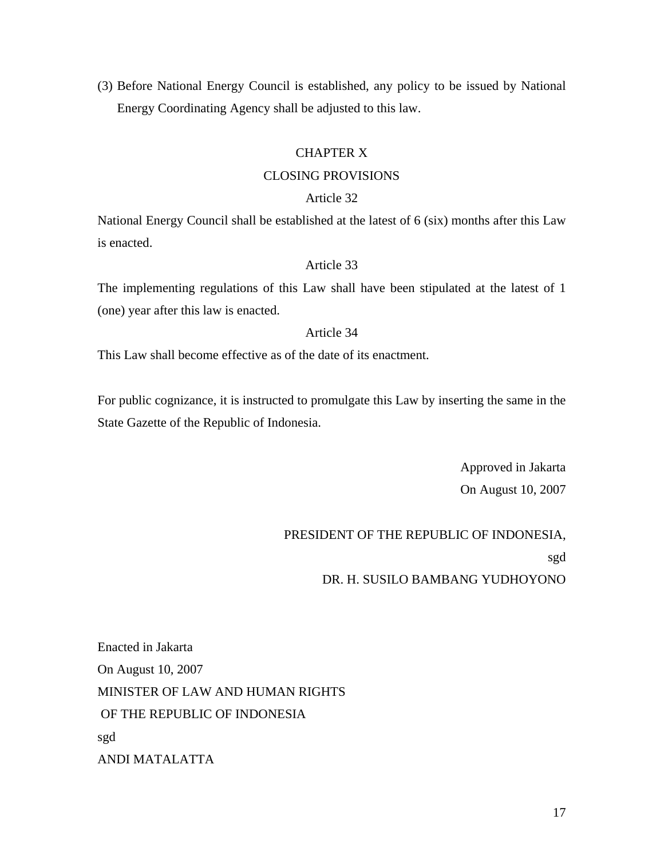(3) Before National Energy Council is established, any policy to be issued by National Energy Coordinating Agency shall be adjusted to this law.

# CHAPTER X

### CLOSING PROVISIONS

#### Article 32

National Energy Council shall be established at the latest of 6 (six) months after this Law is enacted.

### Article 33

The implementing regulations of this Law shall have been stipulated at the latest of 1 (one) year after this law is enacted.

### Article 34

This Law shall become effective as of the date of its enactment.

For public cognizance, it is instructed to promulgate this Law by inserting the same in the State Gazette of the Republic of Indonesia.

> Approved in Jakarta On August 10, 2007

# PRESIDENT OF THE REPUBLIC OF INDONESIA, sgd DR. H. SUSILO BAMBANG YUDHOYONO

Enacted in Jakarta On August 10, 2007 MINISTER OF LAW AND HUMAN RIGHTS OF THE REPUBLIC OF INDONESIA sgd ANDI MATALATTA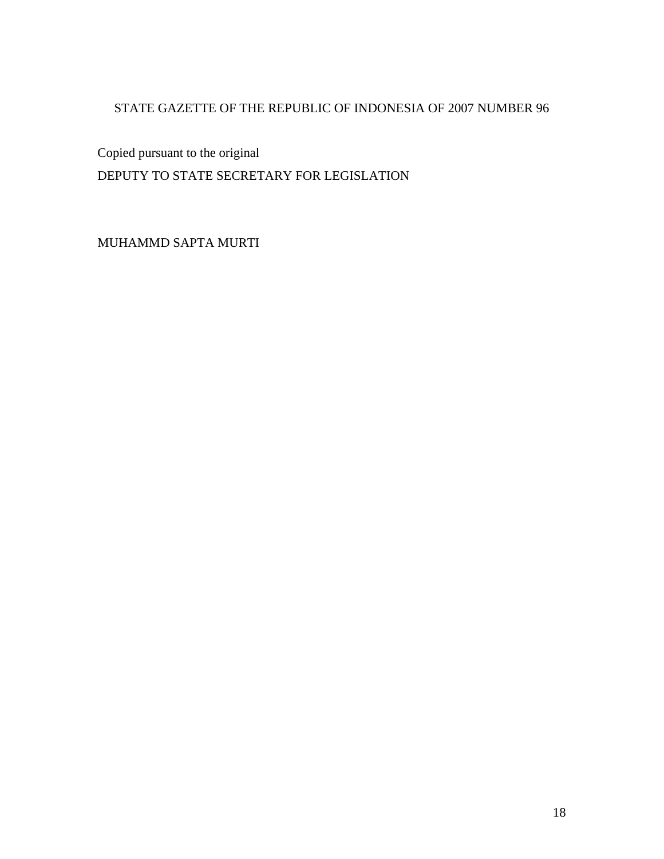# STATE GAZETTE OF THE REPUBLIC OF INDONESIA OF 2007 NUMBER 96

Copied pursuant to the original DEPUTY TO STATE SECRETARY FOR LEGISLATION

MUHAMMD SAPTA MURTI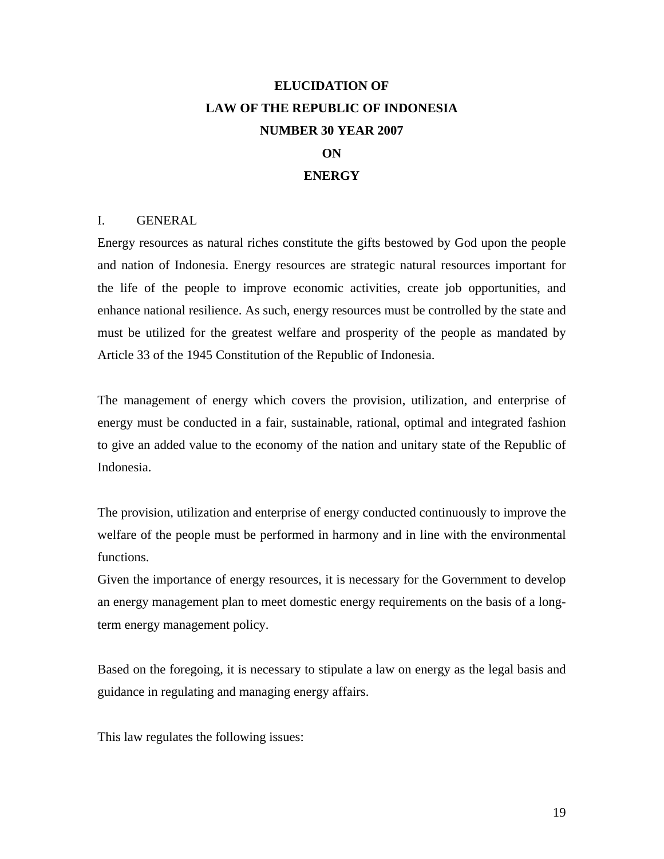# **ELUCIDATION OF LAW OF THE REPUBLIC OF INDONESIA NUMBER 30 YEAR 2007**

# **ON**

### **ENERGY**

#### I. GENERAL

Energy resources as natural riches constitute the gifts bestowed by God upon the people and nation of Indonesia. Energy resources are strategic natural resources important for the life of the people to improve economic activities, create job opportunities, and enhance national resilience. As such, energy resources must be controlled by the state and must be utilized for the greatest welfare and prosperity of the people as mandated by Article 33 of the 1945 Constitution of the Republic of Indonesia.

The management of energy which covers the provision, utilization, and enterprise of energy must be conducted in a fair, sustainable, rational, optimal and integrated fashion to give an added value to the economy of the nation and unitary state of the Republic of Indonesia.

The provision, utilization and enterprise of energy conducted continuously to improve the welfare of the people must be performed in harmony and in line with the environmental functions.

Given the importance of energy resources, it is necessary for the Government to develop an energy management plan to meet domestic energy requirements on the basis of a longterm energy management policy.

Based on the foregoing, it is necessary to stipulate a law on energy as the legal basis and guidance in regulating and managing energy affairs.

This law regulates the following issues: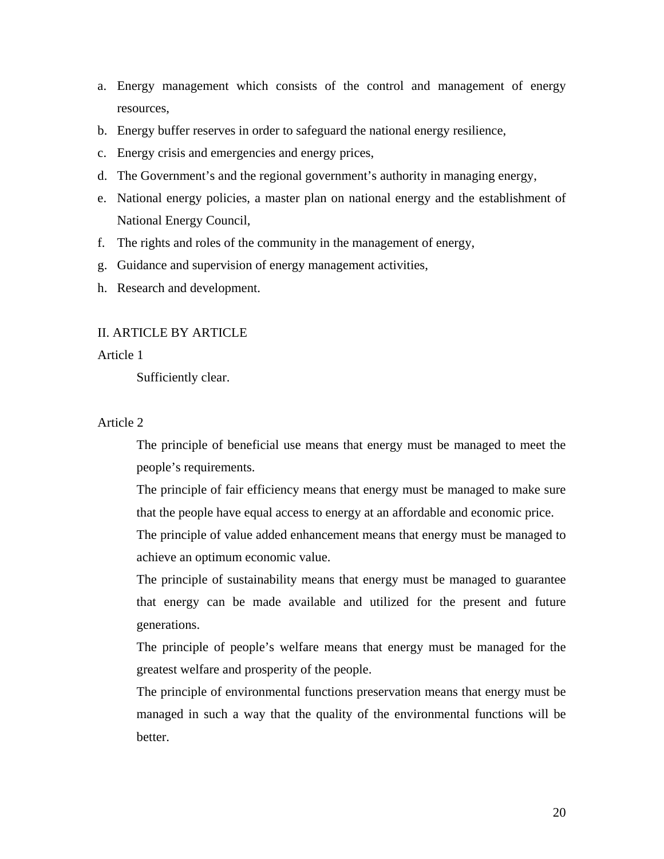- a. Energy management which consists of the control and management of energy resources,
- b. Energy buffer reserves in order to safeguard the national energy resilience,
- c. Energy crisis and emergencies and energy prices,
- d. The Government's and the regional government's authority in managing energy,
- e. National energy policies, a master plan on national energy and the establishment of National Energy Council,
- f. The rights and roles of the community in the management of energy,
- g. Guidance and supervision of energy management activities,
- h. Research and development.

#### II. ARTICLE BY ARTICLE

Article 1

Sufficiently clear.

### Article 2

 The principle of beneficial use means that energy must be managed to meet the people's requirements.

 The principle of fair efficiency means that energy must be managed to make sure that the people have equal access to energy at an affordable and economic price.

 The principle of value added enhancement means that energy must be managed to achieve an optimum economic value.

 The principle of sustainability means that energy must be managed to guarantee that energy can be made available and utilized for the present and future generations.

 The principle of people's welfare means that energy must be managed for the greatest welfare and prosperity of the people.

 The principle of environmental functions preservation means that energy must be managed in such a way that the quality of the environmental functions will be better.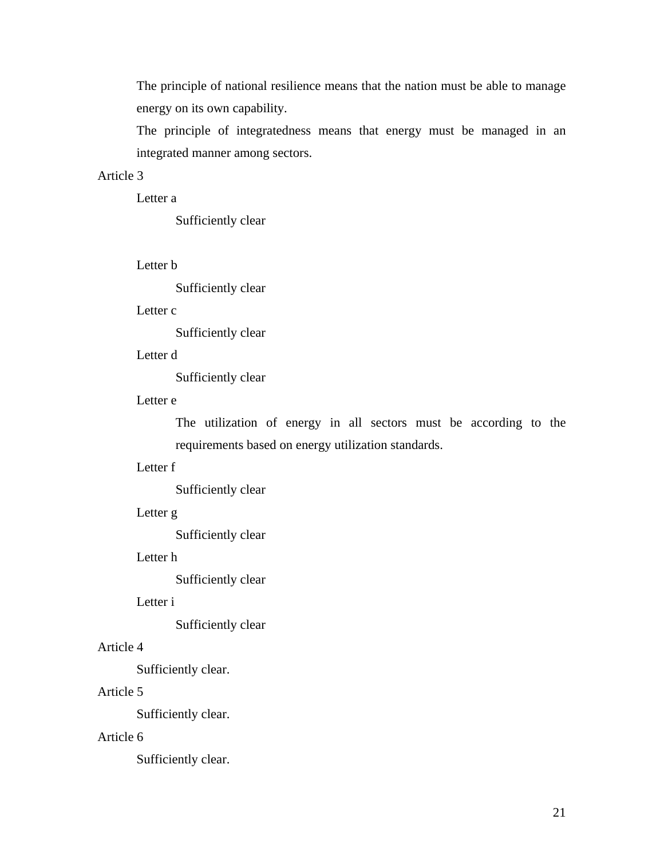The principle of national resilience means that the nation must be able to manage energy on its own capability.

 The principle of integratedness means that energy must be managed in an integrated manner among sectors.

### Article 3

Letter a

Sufficiently clear

Letter b

Sufficiently clear

#### Letter c

Sufficiently clear

### Letter d

Sufficiently clear

### Letter e

The utilization of energy in all sectors must be according to the requirements based on energy utilization standards.

### Letter f

Sufficiently clear

### Letter g

Sufficiently clear

# Letter h

Sufficiently clear

### Letter i

Sufficiently clear

## Article 4

Sufficiently clear.

### Article 5

Sufficiently clear.

### Article 6

Sufficiently clear.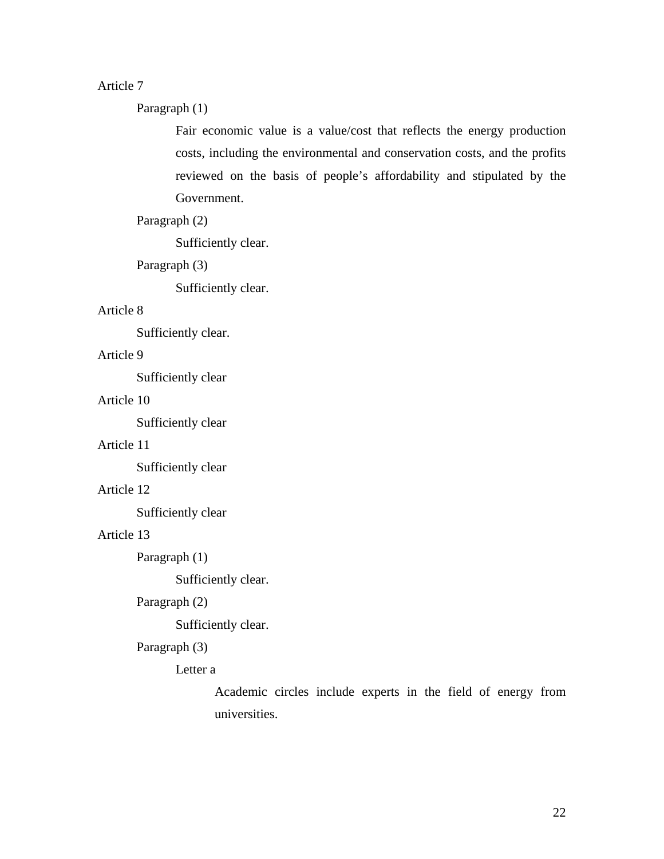# Article 7

Paragraph (1)

Fair economic value is a value/cost that reflects the energy production costs, including the environmental and conservation costs, and the profits reviewed on the basis of people's affordability and stipulated by the Government.

### Paragraph (2)

Sufficiently clear.

### Paragraph (3)

Sufficiently clear.

### Article 8

Sufficiently clear.

### Article 9

Sufficiently clear

# Article 10

Sufficiently clear

## Article 11

Sufficiently clear

### Article 12

Sufficiently clear

### Article 13

Paragraph (1)

Sufficiently clear.

# Paragraph (2)

Sufficiently clear.

#### Paragraph (3)

### Letter a

Academic circles include experts in the field of energy from universities.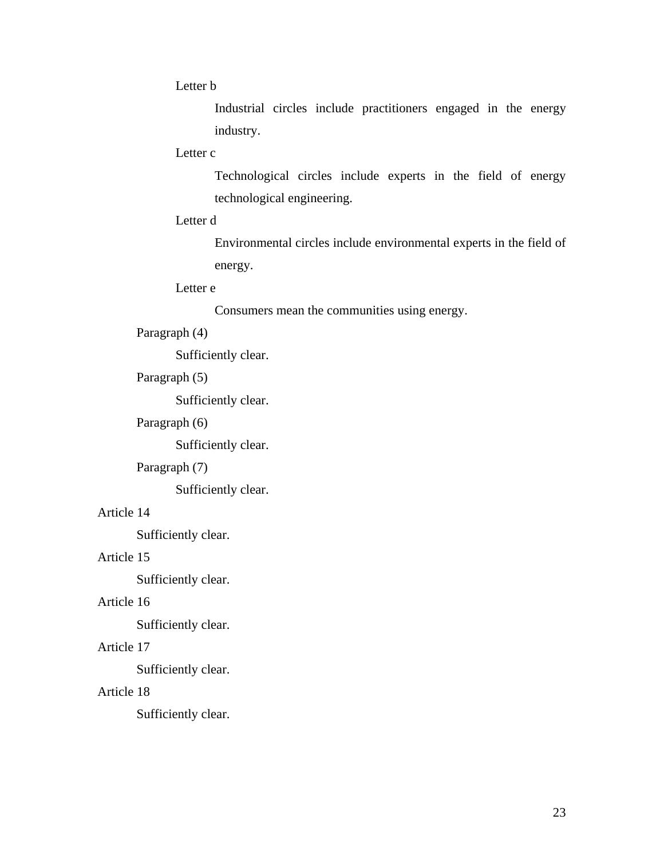Letter b

Industrial circles include practitioners engaged in the energy industry.

### Letter c

Technological circles include experts in the field of energy technological engineering.

### Letter d

Environmental circles include environmental experts in the field of energy.

# Letter e

Consumers mean the communities using energy.

## Paragraph (4)

Sufficiently clear.

# Paragraph (5)

Sufficiently clear.

### Paragraph (6)

Sufficiently clear.

### Paragraph (7)

Sufficiently clear.

## Article 14

Sufficiently clear.

# Article 15

Sufficiently clear.

# Article 16

Sufficiently clear.

# Article 17

Sufficiently clear.

### Article 18

Sufficiently clear.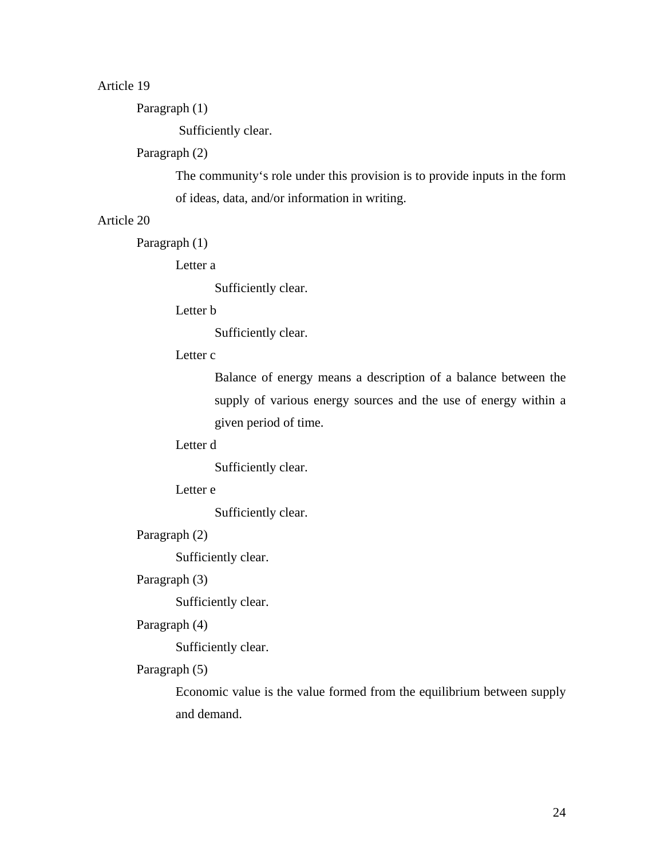# Article 19

Paragraph (1)

Sufficiently clear.

### Paragraph (2)

The community's role under this provision is to provide inputs in the form of ideas, data, and/or information in writing.

### Article 20

Paragraph (1)

Letter a

Sufficiently clear.

### Letter b

Sufficiently clear.

### Letter c

Balance of energy means a description of a balance between the supply of various energy sources and the use of energy within a given period of time.

## Letter d

Sufficiently clear.

### Letter e

Sufficiently clear.

### Paragraph (2)

Sufficiently clear.

## Paragraph (3)

Sufficiently clear.

### Paragraph (4)

Sufficiently clear.

### Paragraph (5)

Economic value is the value formed from the equilibrium between supply and demand.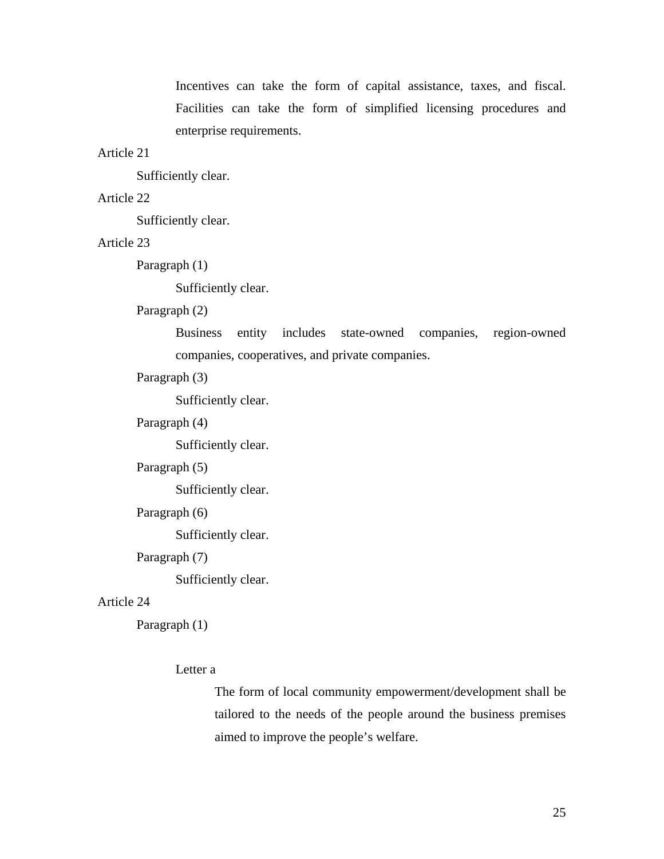Incentives can take the form of capital assistance, taxes, and fiscal. Facilities can take the form of simplified licensing procedures and enterprise requirements.

#### Article 21

Sufficiently clear.

### Article 22

Sufficiently clear.

### Article 23

Paragraph (1)

Sufficiently clear.

### Paragraph (2)

Business entity includes state-owned companies, region-owned companies, cooperatives, and private companies.

### Paragraph (3)

Sufficiently clear.

#### Paragraph (4)

Sufficiently clear.

### Paragraph (5)

Sufficiently clear.

#### Paragraph (6)

Sufficiently clear.

### Paragraph (7)

Sufficiently clear.

### Article 24

Paragraph (1)

#### Letter a

The form of local community empowerment/development shall be tailored to the needs of the people around the business premises aimed to improve the people's welfare.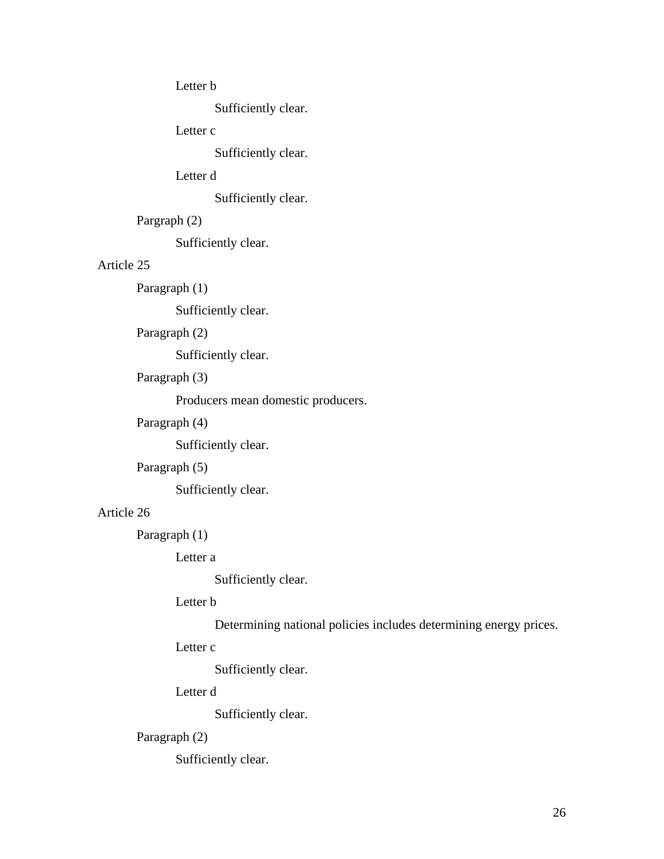### Letter b

Sufficiently clear.

## Letter c

Sufficiently clear.

# Letter d

Sufficiently clear.

# Pargraph (2)

Sufficiently clear.

# Article 25

Paragraph (1)

Sufficiently clear.

# Paragraph (2)

Sufficiently clear.

# Paragraph (3)

Producers mean domestic producers.

## Paragraph (4)

Sufficiently clear.

# Paragraph (5)

Sufficiently clear.

# Article 26

Paragraph (1)

Letter a

Sufficiently clear.

# Letter b

Determining national policies includes determining energy prices.

# Letter c

Sufficiently clear.

# Letter d

Sufficiently clear.

# Paragraph (2)

Sufficiently clear.